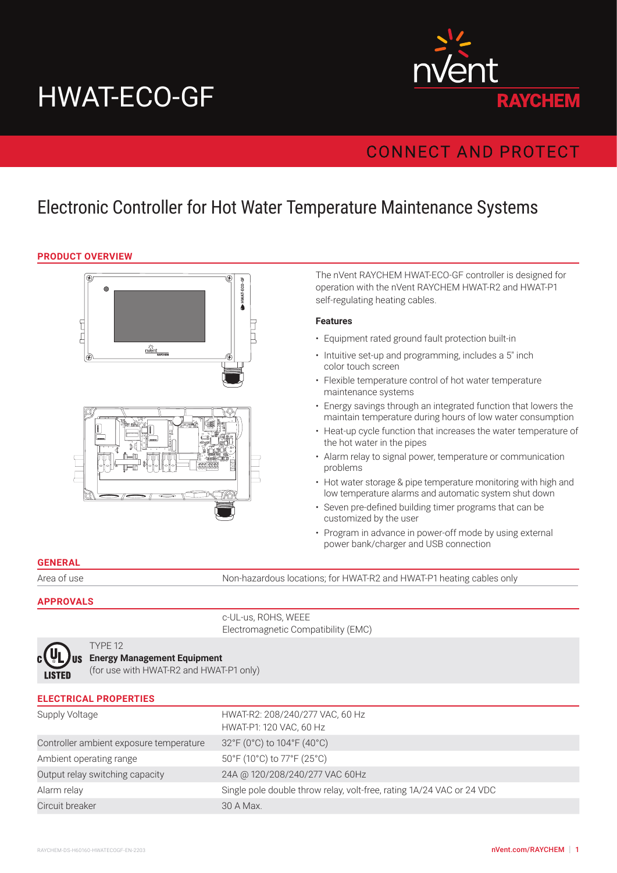# HWAT-ECO-GF



# **CONNECT AND PROTECT**

# Electronic Controller for Hot Water Temperature Maintenance Systems

#### **PRODUCT OVERVIEW**



The nVent RAYCHEM HWAT-ECO-GF controller is designed for operation with the nVent RAYCHEM HWAT-R2 and HWAT-P1 self-regulating heating cables.

#### **Features**

- Equipment rated ground fault protection built-in
- Intuitive set-up and programming, includes a 5" inch color touch screen
- Flexible temperature control of hot water temperature maintenance systems
- Energy savings through an integrated function that lowers the maintain temperature during hours of low water consumption
- Heat-up cycle function that increases the water temperature of the hot water in the pipes
- Alarm relay to signal power, temperature or communication problems
- Hot water storage & pipe temperature monitoring with high and low temperature alarms and automatic system shut down
- Seven pre-defined building timer programs that can be customized by the user
- Program in advance in power-off mode by using external power bank/charger and USB connection

#### **GENERAL**

Area of use Non-hazardous locations; for HWAT-R2 and HWAT-P1 heating cables only

#### **APPROVALS**

c-UL-us, ROHS, WEEE Electromagnetic Compatibility (EMC)



#### TYPE 12 **Energy Management Equipment**

(for use with HWAT-R2 and HWAT-P1 only)

| <b>ELECTRICAL PROPERTIES</b>            |                                                                       |
|-----------------------------------------|-----------------------------------------------------------------------|
| Supply Voltage                          | HWAT-R2: 208/240/277 VAC, 60 Hz<br>HWAT-P1: 120 VAC, 60 Hz            |
| Controller ambient exposure temperature | 32°F (0°C) to 104°F (40°C)                                            |
| Ambient operating range                 | 50°F (10°C) to 77°F (25°C)                                            |
| Output relay switching capacity         | 24A @ 120/208/240/277 VAC 60Hz                                        |
| Alarm relay                             | Single pole double throw relay, volt-free, rating 1A/24 VAC or 24 VDC |
| Circuit breaker                         | 30 A Max.                                                             |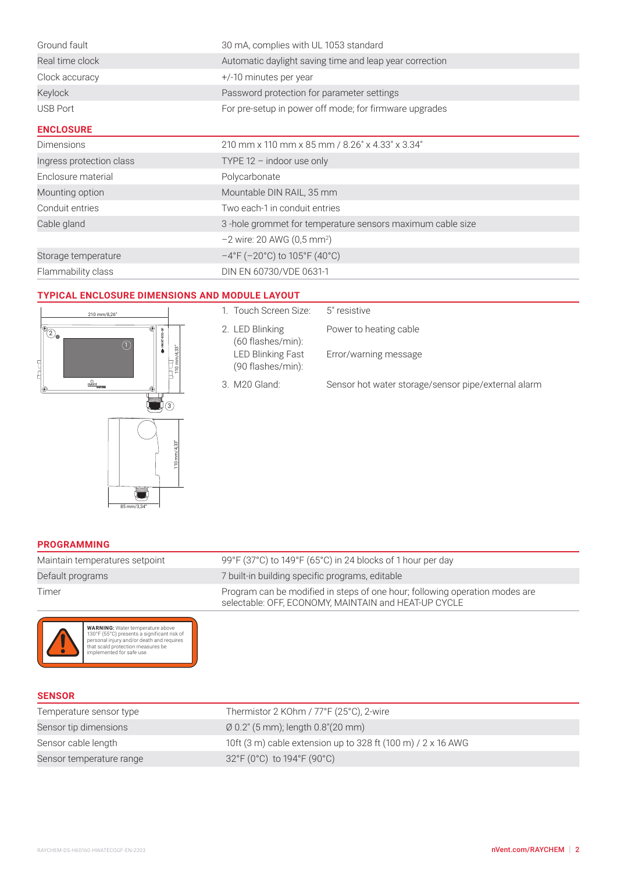| Ground fault             | 30 mA, complies with UL 1053 standard                                   |  |
|--------------------------|-------------------------------------------------------------------------|--|
| Real time clock          | Automatic daylight saving time and leap year correction                 |  |
| Clock accuracy           | +/-10 minutes per year                                                  |  |
| Keylock                  | Password protection for parameter settings                              |  |
| <b>USB Port</b>          | For pre-setup in power off mode; for firmware upgrades                  |  |
| <b>ENCLOSURE</b>         |                                                                         |  |
| <b>Dimensions</b>        | 210 mm x 110 mm x 85 mm / 8.26" x 4.33" x 3.34"                         |  |
| Ingress protection class | TYPE $12 -$ indoor use only                                             |  |
| Enclosure material       | Polycarbonate                                                           |  |
| Mounting option          | Mountable DIN RAIL, 35 mm                                               |  |
| Conduit entries          | Two each-1 in conduit entries                                           |  |
| Cable gland              | 3-hole grommet for temperature sensors maximum cable size               |  |
|                          | $-2$ wire: 20 AWG (0,5 mm <sup>2</sup> )                                |  |
| Storage temperature      | $-4^{\circ}$ F (-20 $^{\circ}$ C) to 105 $^{\circ}$ F (40 $^{\circ}$ C) |  |
| Flammability class       | DIN EN 60730/VDE 0631-1                                                 |  |

# **TYPICAL ENCLOSURE DIMENSIONS AND MODULE LAYOUT**



| 1. Touch Screen Size:                         | 5" resistive                                        |
|-----------------------------------------------|-----------------------------------------------------|
| 2. LED Blinking<br>(60 flashes/min):          | Power to heating cable                              |
| <b>LED Blinking Fast</b><br>(90 flashes/min): | Error/warning message                               |
| 3. M20 Gland:                                 | Sensor hot water storage/sensor pipe/external alarm |

#### **PROGRAMMING**

| Maintain temperatures setpoint | 99°F (37°C) to 149°F (65°C) in 24 blocks of 1 hour per day                                                                          |
|--------------------------------|-------------------------------------------------------------------------------------------------------------------------------------|
| Default programs               | 7 built-in building specific programs, editable                                                                                     |
| Timer                          | Program can be modified in steps of one hour; following operation modes are<br>selectable: OFF, ECONOMY, MAINTAIN and HEAT-UP CYCLE |



WARNING: Water temperature above<br>130°F (55°C) presents a significant risk of<br>personal injury and/or death and requires<br>that scald protection measures be<br>implemented for safe use.

| <b>SENSOR</b>            |                                                              |
|--------------------------|--------------------------------------------------------------|
| Temperature sensor type  | Thermistor 2 KOhm / 77°F (25°C), 2-wire                      |
| Sensor tip dimensions    | $\varnothing$ 0.2" (5 mm); length 0.8"(20 mm)                |
| Sensor cable length      | 10ft (3 m) cable extension up to 328 ft (100 m) / 2 x 16 AWG |
| Sensor temperature range | 32°F (0°C) to 194°F (90°C)                                   |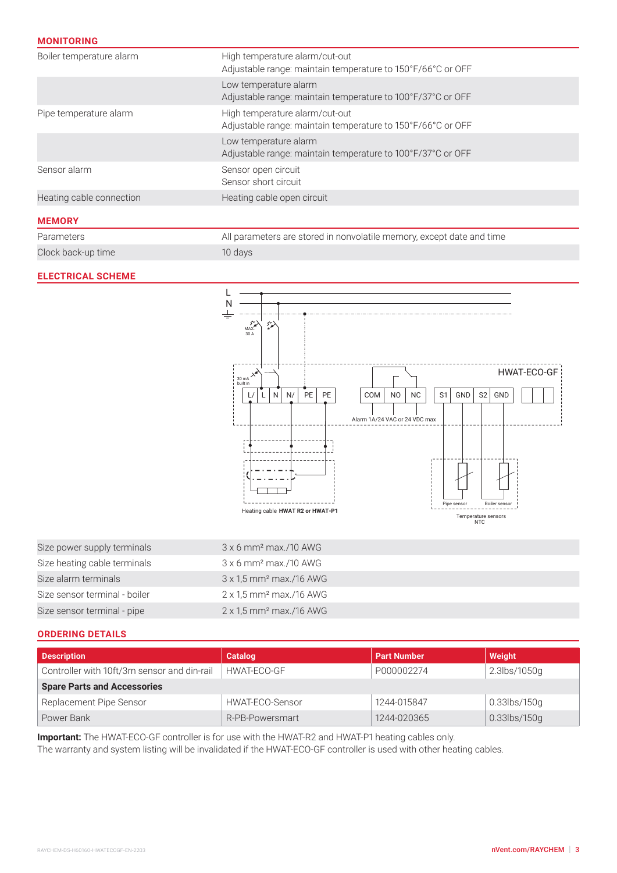# **MONITORING**

| Boiler temperature alarm | High temperature alarm/cut-out<br>Adjustable range: maintain temperature to 150°F/66°C or OFF |
|--------------------------|-----------------------------------------------------------------------------------------------|
|                          | Low temperature alarm<br>Adjustable range: maintain temperature to 100°F/37°C or OFF          |
| Pipe temperature alarm   | High temperature alarm/cut-out<br>Adjustable range: maintain temperature to 150°F/66°C or OFF |
|                          | Low temperature alarm<br>Adjustable range: maintain temperature to 100°F/37°C or OFF          |
| Sensor alarm             | Sensor open circuit<br>Sensor short circuit                                                   |
| Heating cable connection | Heating cable open circuit                                                                    |
| <b>MEMORY</b>            |                                                                                               |

| Parameters         | All parameters are stored in nonvolatile memory, except date and time |
|--------------------|-----------------------------------------------------------------------|
| Clock back-up time | 10 days                                                               |

### **ELECTRICAL SCHEME**



| Size power supply terminals   | $3 \times 6$ mm <sup>2</sup> max./10 AWG   |
|-------------------------------|--------------------------------------------|
| Size heating cable terminals  | $3 \times 6$ mm <sup>2</sup> max./10 AWG   |
| Size alarm terminals          | $3 \times 1.5$ mm <sup>2</sup> max./16 AWG |
| Size sensor terminal - boiler | $2 \times 1.5$ mm <sup>2</sup> max./16 AWG |
| Size sensor terminal - pipe   | $2 \times 1.5$ mm <sup>2</sup> max./16 AWG |

#### **ORDERING DETAILS**

| <b>Description</b>                          | <b>Catalog</b>  | <b>Part Number</b> | Weight       |
|---------------------------------------------|-----------------|--------------------|--------------|
| Controller with 10ft/3m sensor and din-rail | HWAT-ECO-GF     | P000002274         | 2.3lbs/1050g |
| <b>Spare Parts and Accessories</b>          |                 |                    |              |
| Replacement Pipe Sensor                     | HWAT-ECO-Sensor | 1244-015847        | 0.33lbs/150g |
| Power Bank                                  | R-PB-Powersmart | 1244-020365        | 0.33lbs/150g |

**Important:** The HWAT-ECO-GF controller is for use with the HWAT-R2 and HWAT-P1 heating cables only.

The warranty and system listing will be invalidated if the HWAT-ECO-GF controller is used with other heating cables.